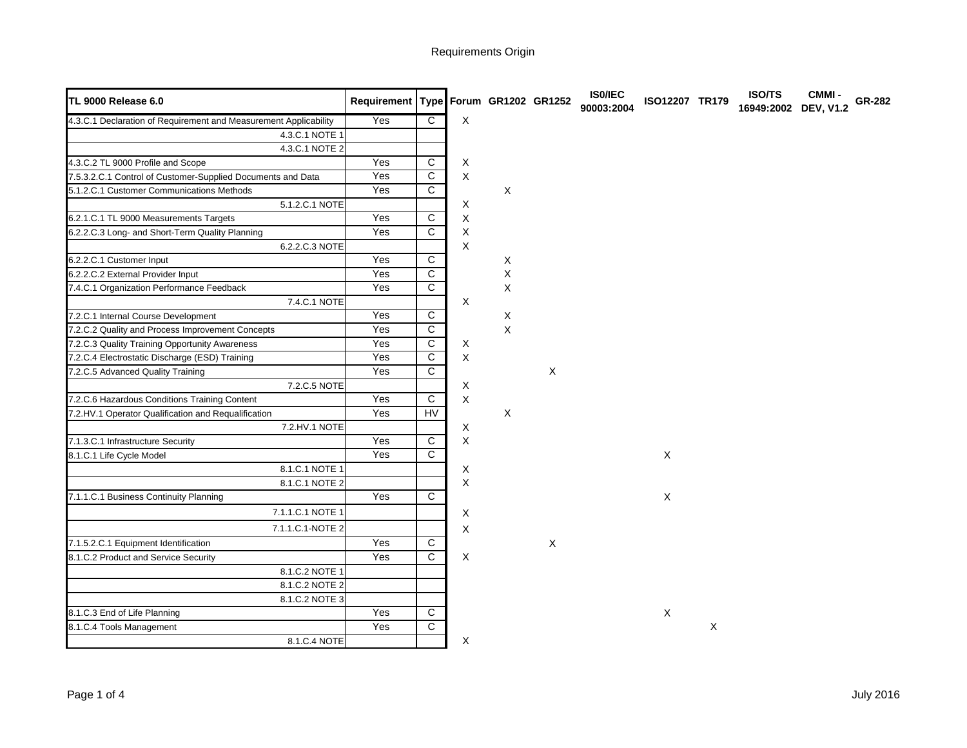| <b>TL 9000 Release 6.0</b>                                       | Requirement Type Forum GR1202 GR1252 |                         |             |                |             | <b>ISO/IEC</b><br>90003:2004 | ISO12207 TR179 |   | <b>ISO/TS</b><br>16949:2002 DEV, V1.2 | <b>CMMI-</b> | GR-282 |
|------------------------------------------------------------------|--------------------------------------|-------------------------|-------------|----------------|-------------|------------------------------|----------------|---|---------------------------------------|--------------|--------|
| 4.3.C.1 Declaration of Requirement and Measurement Applicability | Yes                                  | $\overline{C}$          | X           |                |             |                              |                |   |                                       |              |        |
| 4.3.C.1 NOTE 1                                                   |                                      |                         |             |                |             |                              |                |   |                                       |              |        |
| 4.3.C.1 NOTE 2                                                   |                                      |                         |             |                |             |                              |                |   |                                       |              |        |
| 4.3.C.2 TL 9000 Profile and Scope                                | Yes                                  | $\overline{C}$          | Χ           |                |             |                              |                |   |                                       |              |        |
| 7.5.3.2.C.1 Control of Customer-Supplied Documents and Data      | Yes                                  | $\overline{c}$          | X           |                |             |                              |                |   |                                       |              |        |
| 5.1.2.C.1 Customer Communications Methods                        | Yes                                  | $\overline{C}$          |             | X              |             |                              |                |   |                                       |              |        |
| 5.1.2.C.1 NOTE                                                   |                                      |                         | X           |                |             |                              |                |   |                                       |              |        |
| 6.2.1.C.1 TL 9000 Measurements Targets                           | Yes                                  | C                       | X           |                |             |                              |                |   |                                       |              |        |
| 6.2.2.C.3 Long- and Short-Term Quality Planning                  | Yes                                  | $\overline{C}$          | X           |                |             |                              |                |   |                                       |              |        |
| 6.2.2.C.3 NOTE                                                   |                                      |                         | $\mathsf X$ |                |             |                              |                |   |                                       |              |        |
| 6.2.2.C.1 Customer Input                                         | Yes                                  | $\mathsf{C}$            |             | X              |             |                              |                |   |                                       |              |        |
| 6.2.2.C.2 External Provider Input                                | Yes                                  | $\overline{c}$          |             | $\mathsf X$    |             |                              |                |   |                                       |              |        |
| 7.4.C.1 Organization Performance Feedback                        | Yes                                  | $\overline{C}$          |             | Χ              |             |                              |                |   |                                       |              |        |
| 7.4.C.1 NOTE                                                     |                                      |                         | X           |                |             |                              |                |   |                                       |              |        |
| 7.2.C.1 Internal Course Development                              | Yes                                  | C                       |             | X              |             |                              |                |   |                                       |              |        |
| 7.2.C.2 Quality and Process Improvement Concepts                 | Yes                                  | $\overline{c}$          |             | $\pmb{\times}$ |             |                              |                |   |                                       |              |        |
| 7.2.C.3 Quality Training Opportunity Awareness                   | Yes                                  | $\mathsf{C}$            | X           |                |             |                              |                |   |                                       |              |        |
| 7.2.C.4 Electrostatic Discharge (ESD) Training                   | Yes                                  | $\overline{c}$          | X           |                |             |                              |                |   |                                       |              |        |
| 7.2.C.5 Advanced Quality Training                                | Yes                                  | $\overline{\mathsf{c}}$ |             |                | $\mathsf X$ |                              |                |   |                                       |              |        |
| 7.2.C.5 NOTE                                                     |                                      |                         | X           |                |             |                              |                |   |                                       |              |        |
| 7.2.C.6 Hazardous Conditions Training Content                    | Yes                                  | $\overline{C}$          | X           |                |             |                              |                |   |                                       |              |        |
| 7.2.HV.1 Operator Qualification and Requalification              | Yes                                  | <b>HV</b>               |             | X              |             |                              |                |   |                                       |              |        |
| 7.2.HV.1 NOTE                                                    |                                      |                         | X           |                |             |                              |                |   |                                       |              |        |
| 7.1.3.C.1 Infrastructure Security                                | Yes                                  | C                       | X           |                |             |                              |                |   |                                       |              |        |
| 8.1.C.1 Life Cycle Model                                         | Yes                                  | $\overline{C}$          |             |                |             |                              | $\mathsf X$    |   |                                       |              |        |
| 8.1.C.1 NOTE 1                                                   |                                      |                         | X           |                |             |                              |                |   |                                       |              |        |
| 8.1.C.1 NOTE 2                                                   |                                      |                         | X           |                |             |                              |                |   |                                       |              |        |
| 7.1.1.C.1 Business Continuity Planning                           | Yes                                  | $\overline{C}$          |             |                |             |                              | X              |   |                                       |              |        |
| 7.1.1.C.1 NOTE 1                                                 |                                      |                         | X           |                |             |                              |                |   |                                       |              |        |
| 7.1.1.C.1-NOTE 2                                                 |                                      |                         | X           |                |             |                              |                |   |                                       |              |        |
| 7.1.5.2.C.1 Equipment Identification                             | Yes                                  | C                       |             |                | $\mathsf X$ |                              |                |   |                                       |              |        |
| 8.1.C.2 Product and Service Security                             | Yes                                  | $\mathsf{C}$            | X           |                |             |                              |                |   |                                       |              |        |
| 8.1.C.2 NOTE 1                                                   |                                      |                         |             |                |             |                              |                |   |                                       |              |        |
| 8.1.C.2 NOTE 2                                                   |                                      |                         |             |                |             |                              |                |   |                                       |              |        |
| 8.1.C.2 NOTE 3                                                   |                                      |                         |             |                |             |                              |                |   |                                       |              |        |
| 8.1.C.3 End of Life Planning                                     | Yes                                  | $\overline{c}$          |             |                |             |                              | $\mathsf X$    |   |                                       |              |        |
| 8.1.C.4 Tools Management                                         | Yes                                  | $\overline{C}$          |             |                |             |                              |                | X |                                       |              |        |
| 8.1.C.4 NOTE                                                     |                                      |                         | X           |                |             |                              |                |   |                                       |              |        |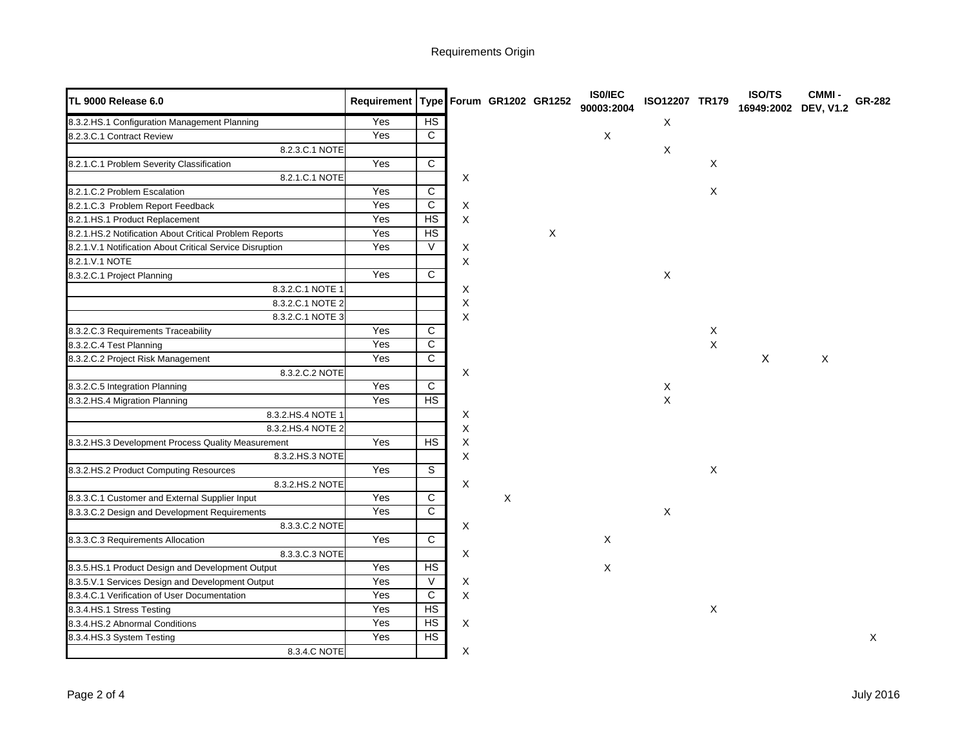Requirements Origin

| <b>TL 9000 Release 6.0</b>                               | Requirement Type Forum GR1202 GR1252 |                         |             |   |   | IS0/IEC<br>90003:2004 | ISO12207 TR179 |             | <b>ISO/TS</b><br>16949:2002 | <b>CMMI-</b><br><b>DEV, V1.2</b> | GR-282       |
|----------------------------------------------------------|--------------------------------------|-------------------------|-------------|---|---|-----------------------|----------------|-------------|-----------------------------|----------------------------------|--------------|
| 8.3.2.HS.1 Configuration Management Planning             | Yes                                  | H <sub>S</sub>          |             |   |   |                       | X              |             |                             |                                  |              |
| 8.2.3.C.1 Contract Review                                | Yes                                  | $\overline{C}$          |             |   |   | X                     |                |             |                             |                                  |              |
| 8.2.3.C.1 NOTE                                           |                                      |                         |             |   |   |                       | X              |             |                             |                                  |              |
| 8.2.1.C.1 Problem Severity Classification                | Yes                                  | C                       |             |   |   |                       |                | X           |                             |                                  |              |
| 8.2.1.C.1 NOTE                                           |                                      |                         | X           |   |   |                       |                |             |                             |                                  |              |
| 8.2.1.C.2 Problem Escalation                             | Yes                                  | $\overline{\text{c}}$   |             |   |   |                       |                | X           |                             |                                  |              |
| 8.2.1.C.3 Problem Report Feedback                        | Yes                                  | $\overline{\text{c}}$   | X           |   |   |                       |                |             |                             |                                  |              |
| 8.2.1.HS.1 Product Replacement                           | Yes                                  | HS                      | X           |   |   |                       |                |             |                             |                                  |              |
| 8.2.1.HS.2 Notification About Critical Problem Reports   | Yes                                  | $\overline{HS}$         |             |   | X |                       |                |             |                             |                                  |              |
| 8.2.1.V.1 Notification About Critical Service Disruption | Yes                                  | V                       | X           |   |   |                       |                |             |                             |                                  |              |
| 8.2.1.V.1 NOTE                                           |                                      |                         | X           |   |   |                       |                |             |                             |                                  |              |
| 8.3.2.C.1 Project Planning                               | Yes                                  | $\overline{\text{c}}$   |             |   |   |                       | X              |             |                             |                                  |              |
| 8.3.2.C.1 NOTE 1                                         |                                      |                         | X           |   |   |                       |                |             |                             |                                  |              |
| 8.3.2.C.1 NOTE 2                                         |                                      |                         | X           |   |   |                       |                |             |                             |                                  |              |
| 8.3.2.C.1 NOTE 3                                         |                                      |                         | X           |   |   |                       |                |             |                             |                                  |              |
| 8.3.2.C.3 Requirements Traceability                      | Yes                                  | C                       |             |   |   |                       |                | X           |                             |                                  |              |
| 8.3.2.C.4 Test Planning                                  | Yes                                  | $\overline{\mathsf{c}}$ |             |   |   |                       |                | X           |                             |                                  |              |
| 8.3.2.C.2 Project Risk Management                        | Yes                                  | C                       |             |   |   |                       |                |             | $\mathsf{X}$                | $\mathsf{X}$                     |              |
| 8.3.2.C.2 NOTE                                           |                                      |                         | X           |   |   |                       |                |             |                             |                                  |              |
| 8.3.2.C.5 Integration Planning                           | Yes                                  | $\mathsf{C}$            |             |   |   |                       | X              |             |                             |                                  |              |
| 8.3.2.HS.4 Migration Planning                            | Yes                                  | HS                      |             |   |   |                       | $\pmb{\times}$ |             |                             |                                  |              |
| 8.3.2.HS.4 NOTE 1                                        |                                      |                         | X           |   |   |                       |                |             |                             |                                  |              |
| 8.3.2.HS.4 NOTE 2                                        |                                      |                         | $\mathsf X$ |   |   |                       |                |             |                             |                                  |              |
| 8.3.2.HS.3 Development Process Quality Measurement       | Yes                                  | HS                      | X           |   |   |                       |                |             |                             |                                  |              |
| 8.3.2.HS.3 NOTE                                          |                                      |                         | X           |   |   |                       |                |             |                             |                                  |              |
| 8.3.2.HS.2 Product Computing Resources                   | Yes                                  | $\overline{s}$          |             |   |   |                       |                | $\mathsf X$ |                             |                                  |              |
| 8.3.2.HS.2 NOTE                                          |                                      |                         | X           |   |   |                       |                |             |                             |                                  |              |
| 8.3.3.C.1 Customer and External Supplier Input           | Yes                                  | $\overline{C}$          |             | X |   |                       |                |             |                             |                                  |              |
| 8.3.3.C.2 Design and Development Requirements            | Yes                                  | $\mathsf{C}$            |             |   |   |                       | $\mathsf X$    |             |                             |                                  |              |
| 8.3.3.C.2 NOTE                                           |                                      |                         | X           |   |   |                       |                |             |                             |                                  |              |
| 8.3.3.C.3 Requirements Allocation                        | Yes                                  | С                       |             |   |   | X                     |                |             |                             |                                  |              |
| 8.3.3.C.3 NOTE                                           |                                      |                         | X           |   |   |                       |                |             |                             |                                  |              |
| 8.3.5.HS.1 Product Design and Development Output         | Yes                                  | HS                      |             |   |   | $\mathsf{X}$          |                |             |                             |                                  |              |
| 8.3.5.V.1 Services Design and Development Output         | Yes                                  | V                       | X           |   |   |                       |                |             |                             |                                  |              |
| 8.3.4.C.1 Verification of User Documentation             | Yes                                  | $\overline{c}$          | X           |   |   |                       |                |             |                             |                                  |              |
| 8.3.4.HS.1 Stress Testing                                | Yes                                  | HS                      |             |   |   |                       |                | $\mathsf X$ |                             |                                  |              |
| 8.3.4.HS.2 Abnormal Conditions                           | Yes                                  | HS                      | X           |   |   |                       |                |             |                             |                                  |              |
| 8.3.4.HS.3 System Testing                                | Yes                                  | HS                      |             |   |   |                       |                |             |                             |                                  | $\mathsf{X}$ |
| 8.3.4.C NOTE                                             |                                      |                         | X           |   |   |                       |                |             |                             |                                  |              |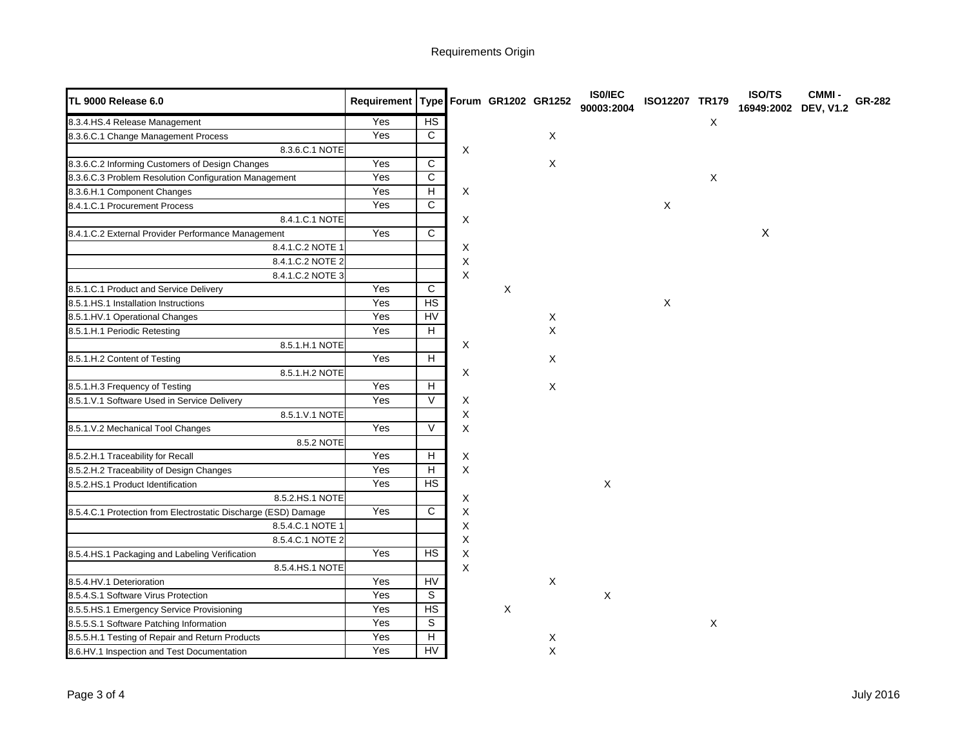Requirements Origin

| <b>TL 9000 Release 6.0</b>                                     | Requirement Type Forum GR1202 GR1252 |                          |             |   |              | IS0/IEC<br>90003:2004 | ISO12207 TR179 |   | ISO/TS<br>16949:2002 DEV, V1.2 | <b>CMMI-</b> | GR-282 |
|----------------------------------------------------------------|--------------------------------------|--------------------------|-------------|---|--------------|-----------------------|----------------|---|--------------------------------|--------------|--------|
| 8.3.4.HS.4 Release Management                                  | Yes                                  | HS                       |             |   |              |                       |                | X |                                |              |        |
| 8.3.6.C.1 Change Management Process                            | Yes                                  | $\overline{c}$           |             |   | X            |                       |                |   |                                |              |        |
| 8.3.6.C.1 NOTE                                                 |                                      |                          | X           |   |              |                       |                |   |                                |              |        |
| 8.3.6.C.2 Informing Customers of Design Changes                | Yes                                  | $\mathsf{C}$             |             |   | $\mathsf{X}$ |                       |                |   |                                |              |        |
| 8.3.6.C.3 Problem Resolution Configuration Management          | Yes                                  | $\mathsf{C}$             |             |   |              |                       |                | X |                                |              |        |
| 8.3.6.H.1 Component Changes                                    | Yes                                  | $\overline{H}$           | X           |   |              |                       |                |   |                                |              |        |
| 8.4.1.C.1 Procurement Process                                  | Yes                                  | C                        |             |   |              |                       | $\mathsf X$    |   |                                |              |        |
| 8.4.1.C.1 NOTE                                                 |                                      |                          | X           |   |              |                       |                |   |                                |              |        |
| 8.4.1.C.2 External Provider Performance Management             | Yes                                  | $\overline{C}$           |             |   |              |                       |                |   | $\pmb{\times}$                 |              |        |
| 8.4.1.C.2 NOTE 1                                               |                                      |                          | X           |   |              |                       |                |   |                                |              |        |
| 8.4.1.C.2 NOTE 2                                               |                                      |                          | X           |   |              |                       |                |   |                                |              |        |
| 8.4.1.C.2 NOTE 3                                               |                                      |                          | X           |   |              |                       |                |   |                                |              |        |
| 8.5.1.C.1 Product and Service Delivery                         | Yes                                  | C                        |             | X |              |                       |                |   |                                |              |        |
| 8.5.1.HS.1 Installation Instructions                           | Yes                                  | HS                       |             |   |              |                       | $\mathsf X$    |   |                                |              |        |
| 8.5.1.HV.1 Operational Changes                                 | Yes                                  | <b>HV</b>                |             |   | X            |                       |                |   |                                |              |        |
| 8.5.1.H.1 Periodic Retesting                                   | Yes                                  | H                        |             |   | X            |                       |                |   |                                |              |        |
| 8.5.1.H.1 NOTE                                                 |                                      |                          | X           |   |              |                       |                |   |                                |              |        |
| 8.5.1.H.2 Content of Testing                                   | Yes                                  | H                        |             |   | X            |                       |                |   |                                |              |        |
| 8.5.1.H.2 NOTE                                                 |                                      |                          | X           |   |              |                       |                |   |                                |              |        |
| 8.5.1.H.3 Frequency of Testing                                 | Yes                                  | $\overline{H}$           |             |   | $\mathsf X$  |                       |                |   |                                |              |        |
| 8.5.1.V.1 Software Used in Service Delivery                    | Yes                                  | $\overline{\mathsf{V}}$  | X           |   |              |                       |                |   |                                |              |        |
| 8.5.1.V.1 NOTE                                                 |                                      |                          | X           |   |              |                       |                |   |                                |              |        |
| 8.5.1.V.2 Mechanical Tool Changes                              | Yes                                  | $\vee$                   | X           |   |              |                       |                |   |                                |              |        |
| 8.5.2 NOTE                                                     |                                      |                          |             |   |              |                       |                |   |                                |              |        |
| 8.5.2.H.1 Traceability for Recall                              | Yes                                  | $\overline{H}$           | X           |   |              |                       |                |   |                                |              |        |
| 8.5.2.H.2 Traceability of Design Changes                       | Yes                                  | $\overline{H}$           | X           |   |              |                       |                |   |                                |              |        |
| 8.5.2.HS.1 Product Identification                              | Yes                                  | HS                       |             |   |              | X                     |                |   |                                |              |        |
| 8.5.2.HS.1 NOTE                                                |                                      |                          | Χ           |   |              |                       |                |   |                                |              |        |
| 8.5.4.C.1 Protection from Electrostatic Discharge (ESD) Damage | Yes                                  | C                        | X           |   |              |                       |                |   |                                |              |        |
| 8.5.4.C.1 NOTE 1                                               |                                      |                          | X           |   |              |                       |                |   |                                |              |        |
| 8.5.4.C.1 NOTE 2                                               |                                      |                          | Χ           |   |              |                       |                |   |                                |              |        |
| 8.5.4.HS.1 Packaging and Labeling Verification                 | Yes                                  | $\overline{HS}$          | X           |   |              |                       |                |   |                                |              |        |
| 8.5.4.HS.1 NOTE                                                |                                      |                          | $\mathsf X$ |   |              |                       |                |   |                                |              |        |
| 8.5.4.HV.1 Deterioration                                       | Yes                                  | <b>HV</b>                |             |   | X            |                       |                |   |                                |              |        |
| 8.5.4.S.1 Software Virus Protection                            | Yes                                  | S                        |             |   |              | X                     |                |   |                                |              |        |
| 8.5.5.HS.1 Emergency Service Provisioning                      | Yes                                  | <b>HS</b>                |             | X |              |                       |                |   |                                |              |        |
| 8.5.5.S.1 Software Patching Information                        | Yes                                  | $\overline{s}$           |             |   |              |                       |                | X |                                |              |        |
| 8.5.5.H.1 Testing of Repair and Return Products                | Yes                                  | $\overline{H}$           |             |   | X            |                       |                |   |                                |              |        |
| 8.6.HV.1 Inspection and Test Documentation                     | Yes                                  | $\overline{\mathsf{HV}}$ |             |   | $\mathsf{X}$ |                       |                |   |                                |              |        |